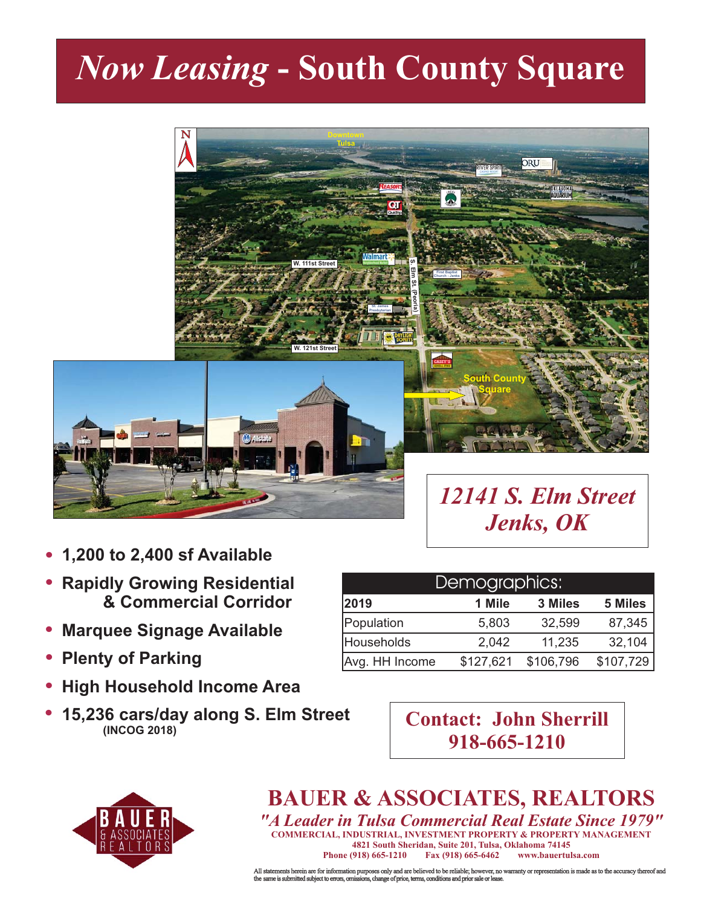## *Now Leasing* **- South County Square**



- **1,200 to 2,400 sf Available**  $\bullet$
- **Rapidly Growing Residential & Commercial Corridor**  $\bullet$
- **Marquee Signage Available**  $\bullet$
- **Plenty of Parking**  $\bullet$
- **High Household Income Area**  $\bullet$
- **(INCOG 2018)**  $\bullet$

| Demographics:  |           |           |           |
|----------------|-----------|-----------|-----------|
| 2019           | 1 Mile    | 3 Miles   | 5 Miles   |
| Population     | 5,803     | 32,599    | 87,345    |
| Households     | 2,042     | 11,235    | 32,104    |
| Avg. HH Income | \$127,621 | \$106,796 | \$107,729 |

**15,236 cars/day along S. Elm Street**

| <b>Contact: John Sherrill</b> |
|-------------------------------|
| 918-665-1210                  |



## **BAUER & ASSOCIATES, REALTORS**

**4821 South Sheridan, Suite 201, Tulsa, Oklahoma 74145** *"A Leader in Tulsa Commercial Real Estate Since 1979"* **COMMERCIAL, INDUSTRIAL, INVESTMENT PROPERTY & PROPERTY MANAGEMENT Phone (918) 665-1210 Fax (918) 665-6462 www.bauertulsa.com**

All statements herein are for information purposes only and are believed to be reliable; however, no warranty or representation is made as to the accuracy thereof and<br>the same is submitted subject to errors, omissions, cha